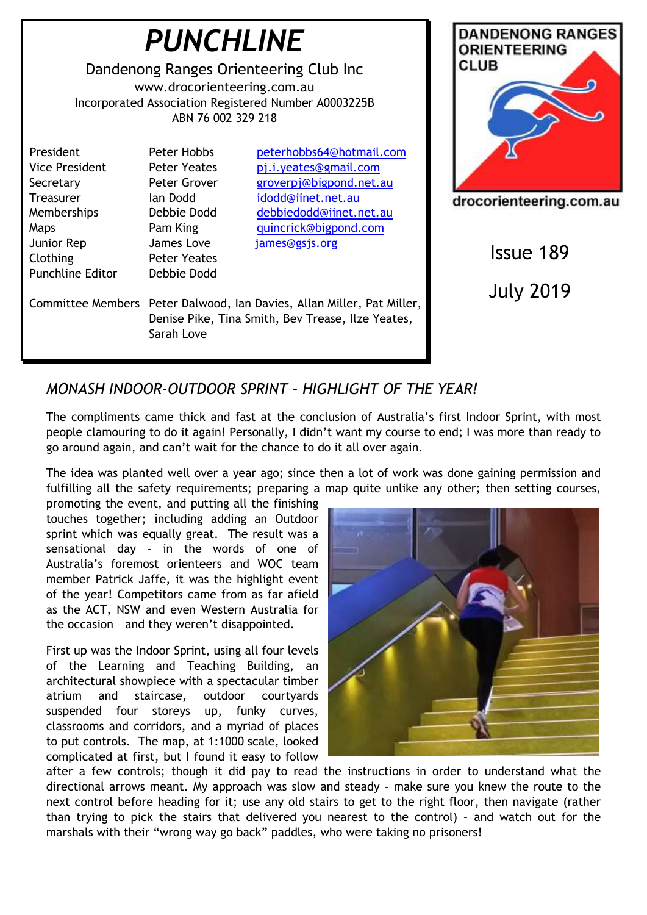

# *MONASH INDOOR-OUTDOOR SPRINT – HIGHLIGHT OF THE YEAR!*

The compliments came thick and fast at the conclusion of Australia's first Indoor Sprint, with most people clamouring to do it again! Personally, I didn't want my course to end; I was more than ready to go around again, and can't wait for the chance to do it all over again.

The idea was planted well over a year ago; since then a lot of work was done gaining permission and fulfilling all the safety requirements; preparing a map quite unlike any other; then setting courses,

promoting the event, and putting all the finishing touches together; including adding an Outdoor sprint which was equally great. The result was a sensational day – in the words of one of Australia's foremost orienteers and WOC team member Patrick Jaffe, it was the highlight event of the year! Competitors came from as far afield as the ACT, NSW and even Western Australia for the occasion – and they weren't disappointed.

First up was the Indoor Sprint, using all four levels of the Learning and Teaching Building, an architectural showpiece with a spectacular timber atrium and staircase, outdoor courtyards suspended four storeys up, funky curves, classrooms and corridors, and a myriad of places to put controls. The map, at 1:1000 scale, looked complicated at first, but I found it easy to follow



after a few controls; though it did pay to read the instructions in order to understand what the directional arrows meant. My approach was slow and steady – make sure you knew the route to the next control before heading for it; use any old stairs to get to the right floor, then navigate (rather than trying to pick the stairs that delivered you nearest to the control) – and watch out for the marshals with their "wrong way go back" paddles, who were taking no prisoners!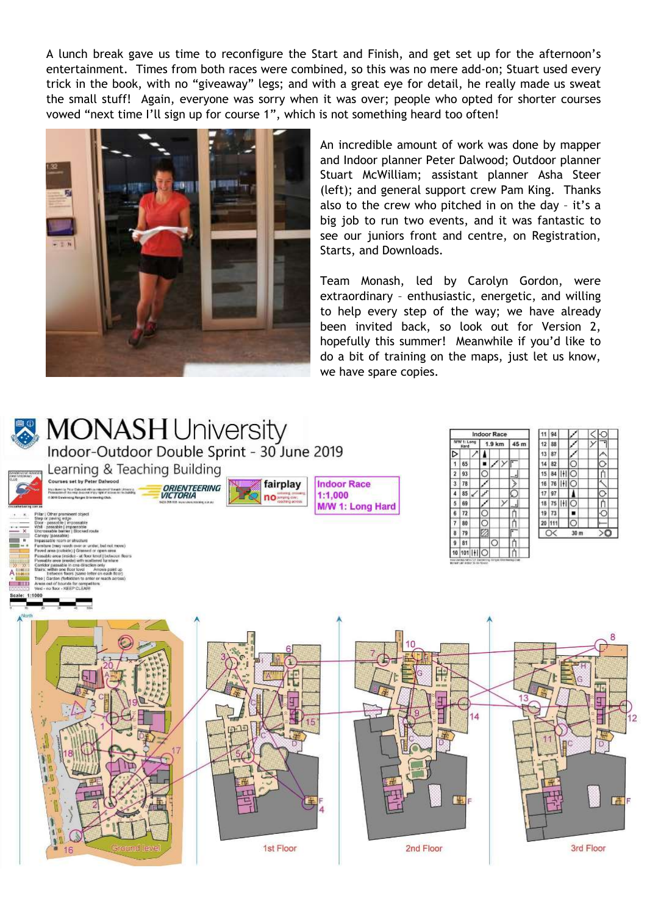A lunch break gave us time to reconfigure the Start and Finish, and get set up for the afternoon's entertainment. Times from both races were combined, so this was no mere add-on; Stuart used every trick in the book, with no "giveaway" legs; and with a great eye for detail, he really made us sweat the small stuff! Again, everyone was sorry when it was over; people who opted for shorter courses vowed "next time I'll sign up for course 1", which is not something heard too often!



An incredible amount of work was done by mapper and Indoor planner Peter Dalwood; Outdoor planner Stuart McWilliam; assistant planner Asha Steer (left); and general support crew Pam King. Thanks also to the crew who pitched in on the day – it's a big job to run two events, and it was fantastic to see our juniors front and centre, on Registration, Starts, and Downloads.

Team Monash, led by Carolyn Gordon, were extraordinary – enthusiastic, energetic, and willing to help every step of the way; we have already been invited back, so look out for Version 2, hopefully this summer! Meanwhile if you'd like to do a bit of training on the maps, just let us know, we have spare copies.

**Indoor Race** 

 $1.9 km$ 

 $45m$ 

11 94

 $17|97$ 

19 73

20 111

 $\alpha$ 

15 84 | 11 0

16 76 HIO

18 75 HI O

٠ 10

 $30<sub>0</sub>$ 

高

3rd Floor



# MONASH University<br>Indoor-Outdoor Double Sprint - 30 June 2019

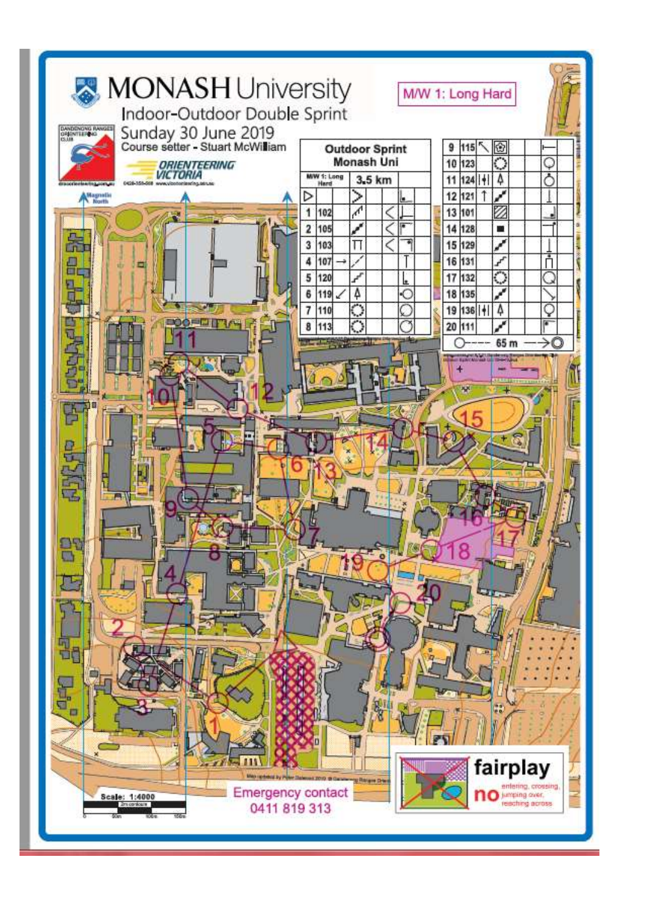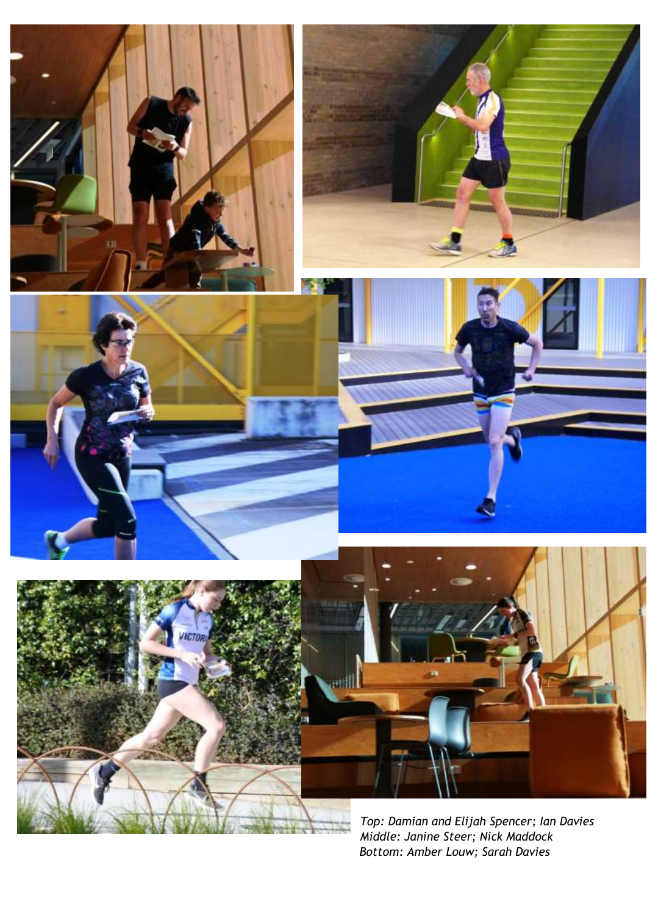











*Top: Damian and Elijah Spencer; Ian Davies Middle: Janine Steer; Nick Maddock Bottom: Amber Louw; Sarah Davies*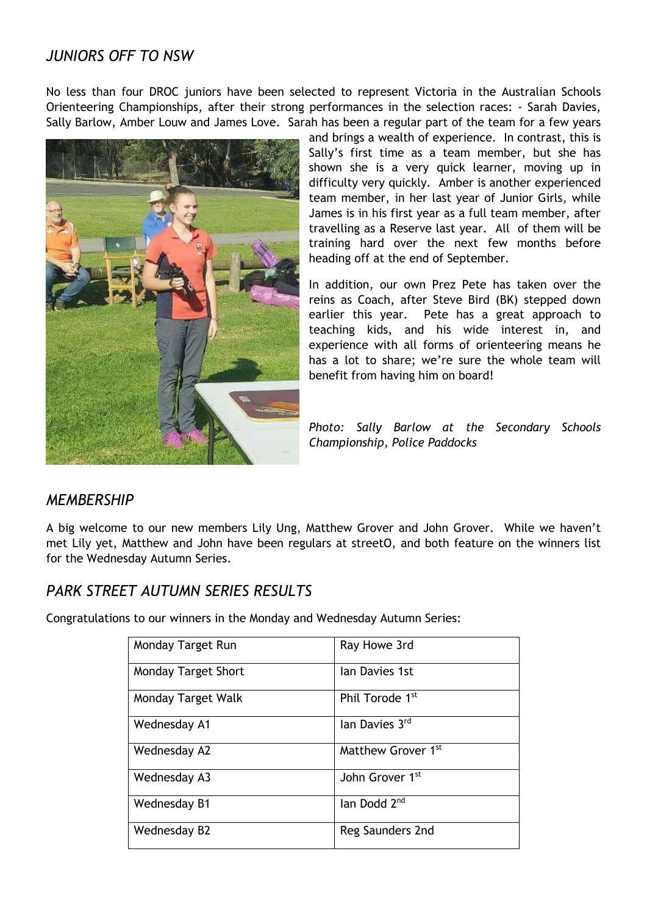# *JUNIORS OFF TO NSW*

No less than four DROC juniors have been selected to represent Victoria in the Australian Schools Orienteering Championships, after their strong performances in the selection races: - Sarah Davies, Sally Barlow, Amber Louw and James Love. Sarah has been a regular part of the team for a few years



and brings a wealth of experience. In contrast, this is Sally's first time as a team member, but she has shown she is a very quick learner, moving up in difficulty very quickly. Amber is another experienced team member, in her last year of Junior Girls, while James is in his first year as a full team member, after travelling as a Reserve last year. All of them will be training hard over the next few months before heading off at the end of September.

In addition, our own Prez Pete has taken over the reins as Coach, after Steve Bird (BK) stepped down earlier this year. Pete has a great approach to teaching kids, and his wide interest in, and experience with all forms of orienteering means he has a lot to share; we're sure the whole team will benefit from having him on board!

*Photo: Sally Barlow at the Secondary Schools Championship, Police Paddocks*

### *MEMBERSHIP*

A big welcome to our new members Lily Ung, Matthew Grover and John Grover. While we haven't met Lily yet, Matthew and John have been regulars at streetO, and both feature on the winners list for the Wednesday Autumn Series.

### *PARK STREET AUTUMN SERIES RESULTS*

Congratulations to our winners in the Monday and Wednesday Autumn Series:

| Monday Target Run   | Ray Howe 3rd                |
|---------------------|-----------------------------|
| Monday Target Short | lan Davies 1st              |
| Monday Target Walk  | Phil Torode 1 <sup>st</sup> |
| Wednesday A1        | lan Davies 3rd              |
| Wednesday A2        | Matthew Grover 1st          |
| Wednesday A3        | John Grover 1st             |
| Wednesday B1        | lan Dodd 2 <sup>nd</sup>    |
| Wednesday B2        | Reg Saunders 2nd            |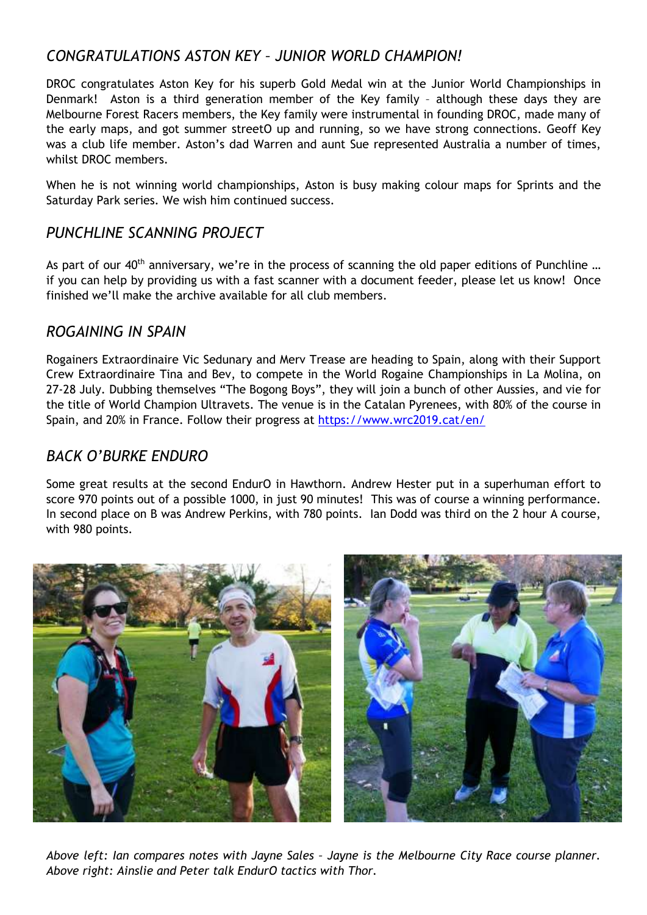# *CONGRATULATIONS ASTON KEY – JUNIOR WORLD CHAMPION!*

DROC congratulates Aston Key for his superb Gold Medal win at the Junior World Championships in Denmark! Aston is a third generation member of the Key family – although these days they are Melbourne Forest Racers members, the Key family were instrumental in founding DROC, made many of the early maps, and got summer streetO up and running, so we have strong connections. Geoff Key was a club life member. Aston's dad Warren and aunt Sue represented Australia a number of times, whilst DROC members.

When he is not winning world championships, Aston is busy making colour maps for Sprints and the Saturday Park series. We wish him continued success.

# *PUNCHLINE SCANNING PROJECT*

As part of our 40<sup>th</sup> anniversary, we're in the process of scanning the old paper editions of Punchline ... if you can help by providing us with a fast scanner with a document feeder, please let us know! Once finished we'll make the archive available for all club members.

### *ROGAINING IN SPAIN*

Rogainers Extraordinaire Vic Sedunary and Merv Trease are heading to Spain, along with their Support Crew Extraordinaire Tina and Bev, to compete in the World Rogaine Championships in La Molina, on 27-28 July. Dubbing themselves "The Bogong Boys", they will join a bunch of other Aussies, and vie for the title of World Champion Ultravets. The venue is in the Catalan Pyrenees, with 80% of the course in Spain, and 20% in France. Follow their progress at<https://www.wrc2019.cat/en/>

## *BACK O'BURKE ENDURO*

Some great results at the second EndurO in Hawthorn. Andrew Hester put in a superhuman effort to score 970 points out of a possible 1000, in just 90 minutes! This was of course a winning performance. In second place on B was Andrew Perkins, with 780 points. Ian Dodd was third on the 2 hour A course, with 980 points.



*Above left: Ian compares notes with Jayne Sales – Jayne is the Melbourne City Race course planner. Above right: Ainslie and Peter talk EndurO tactics with Thor.*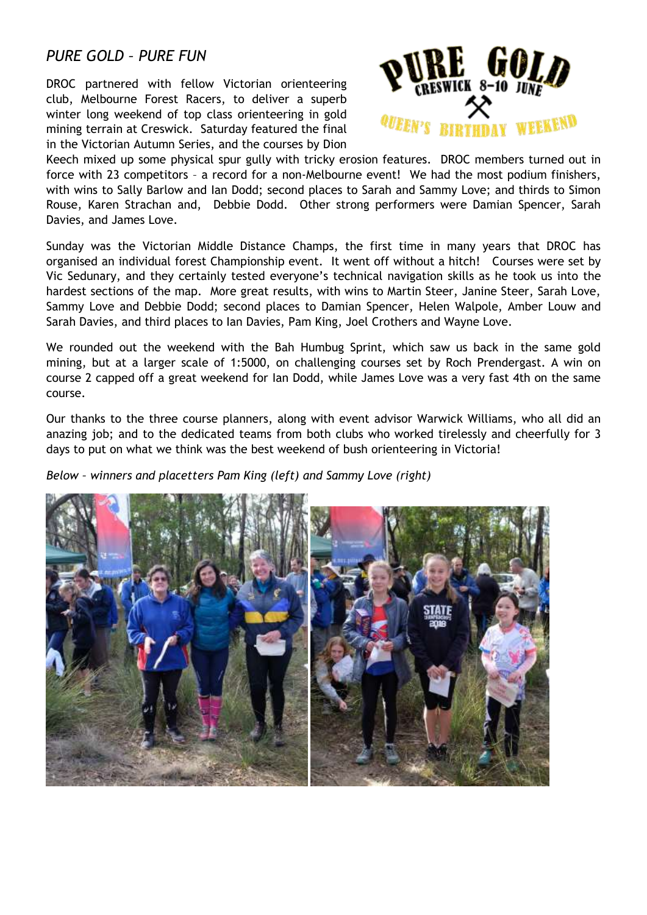### *PURE GOLD – PURE FUN*

DROC partnered with fellow Victorian orienteering club, Melbourne Forest Racers, to deliver a superb winter long weekend of top class orienteering in gold mining terrain at Creswick. Saturday featured the final in the Victorian Autumn Series, and the courses by Dion



Keech mixed up some physical spur gully with tricky erosion features. DROC members turned out in force with 23 competitors – a record for a non-Melbourne event! We had the most podium finishers, with wins to Sally Barlow and Ian Dodd; second places to Sarah and Sammy Love; and thirds to Simon Rouse, Karen Strachan and, Debbie Dodd. Other strong performers were Damian Spencer, Sarah Davies, and James Love.

Sunday was the Victorian Middle Distance Champs, the first time in many years that DROC has organised an individual forest Championship event. It went off without a hitch! Courses were set by Vic Sedunary, and they certainly tested everyone's technical navigation skills as he took us into the hardest sections of the map. More great results, with wins to Martin Steer, Janine Steer, Sarah Love, Sammy Love and Debbie Dodd; second places to Damian Spencer, Helen Walpole, Amber Louw and Sarah Davies, and third places to Ian Davies, Pam King, Joel Crothers and Wayne Love.

We rounded out the weekend with the Bah Humbug Sprint, which saw us back in the same gold mining, but at a larger scale of 1:5000, on challenging courses set by Roch Prendergast. A win on course 2 capped off a great weekend for Ian Dodd, while James Love was a very fast 4th on the same course.

Our thanks to the three course planners, along with event advisor Warwick Williams, who all did an anazing job; and to the dedicated teams from both clubs who worked tirelessly and cheerfully for 3 days to put on what we think was the best weekend of bush orienteering in Victoria!

*Below – winners and placetters Pam King (left) and Sammy Love (right)*

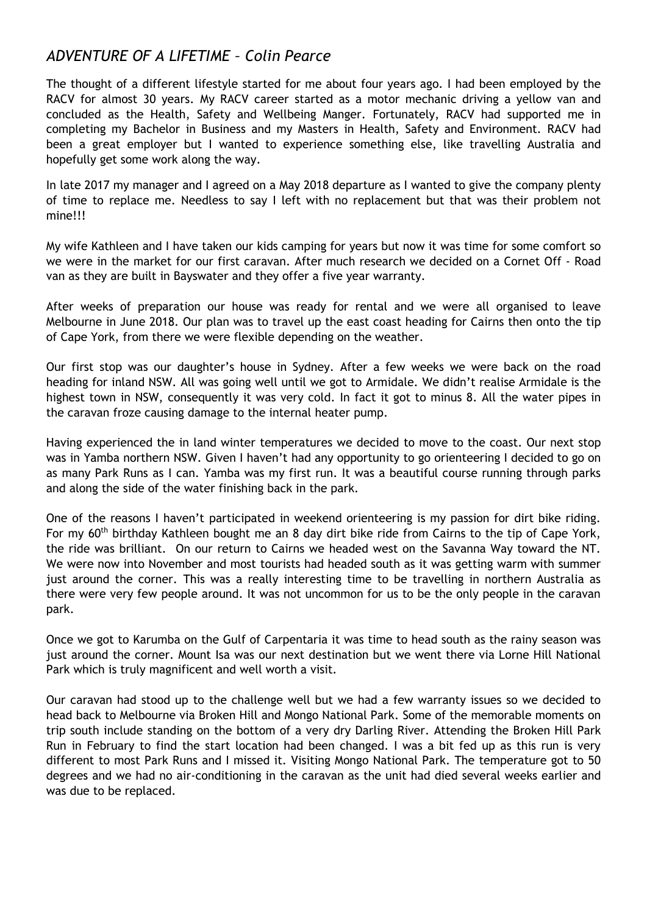# *ADVENTURE OF A LIFETIME – Colin Pearce*

The thought of a different lifestyle started for me about four years ago. I had been employed by the RACV for almost 30 years. My RACV career started as a motor mechanic driving a yellow van and concluded as the Health, Safety and Wellbeing Manger. Fortunately, RACV had supported me in completing my Bachelor in Business and my Masters in Health, Safety and Environment. RACV had been a great employer but I wanted to experience something else, like travelling Australia and hopefully get some work along the way.

In late 2017 my manager and I agreed on a May 2018 departure as I wanted to give the company plenty of time to replace me. Needless to say I left with no replacement but that was their problem not mine!!!

My wife Kathleen and I have taken our kids camping for years but now it was time for some comfort so we were in the market for our first caravan. After much research we decided on a Cornet Off - Road van as they are built in Bayswater and they offer a five year warranty.

After weeks of preparation our house was ready for rental and we were all organised to leave Melbourne in June 2018. Our plan was to travel up the east coast heading for Cairns then onto the tip of Cape York, from there we were flexible depending on the weather.

Our first stop was our daughter's house in Sydney. After a few weeks we were back on the road heading for inland NSW. All was going well until we got to Armidale. We didn't realise Armidale is the highest town in NSW, consequently it was very cold. In fact it got to minus 8. All the water pipes in the caravan froze causing damage to the internal heater pump.

Having experienced the in land winter temperatures we decided to move to the coast. Our next stop was in Yamba northern NSW. Given I haven't had any opportunity to go orienteering I decided to go on as many Park Runs as I can. Yamba was my first run. It was a beautiful course running through parks and along the side of the water finishing back in the park.

One of the reasons I haven't participated in weekend orienteering is my passion for dirt bike riding. For my  $60<sup>th</sup>$  birthday Kathleen bought me an 8 day dirt bike ride from Cairns to the tip of Cape York, the ride was brilliant. On our return to Cairns we headed west on the Savanna Way toward the NT. We were now into November and most tourists had headed south as it was getting warm with summer just around the corner. This was a really interesting time to be travelling in northern Australia as there were very few people around. It was not uncommon for us to be the only people in the caravan park.

Once we got to Karumba on the Gulf of Carpentaria it was time to head south as the rainy season was just around the corner. Mount Isa was our next destination but we went there via Lorne Hill National Park which is truly magnificent and well worth a visit.

Our caravan had stood up to the challenge well but we had a few warranty issues so we decided to head back to Melbourne via Broken Hill and Mongo National Park. Some of the memorable moments on trip south include standing on the bottom of a very dry Darling River. Attending the Broken Hill Park Run in February to find the start location had been changed. I was a bit fed up as this run is very different to most Park Runs and I missed it. Visiting Mongo National Park. The temperature got to 50 degrees and we had no air-conditioning in the caravan as the unit had died several weeks earlier and was due to be replaced.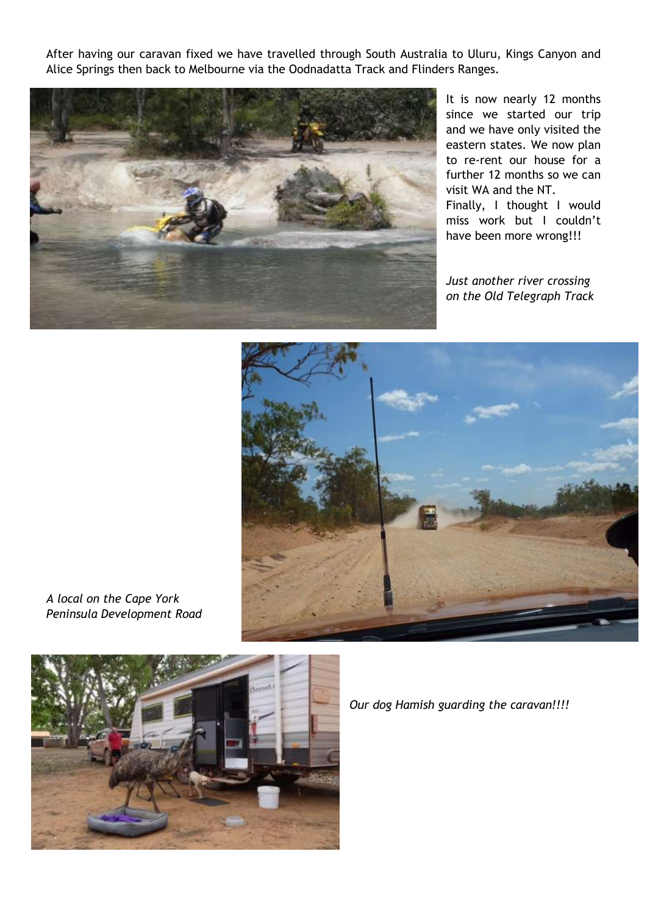After having our caravan fixed we have travelled through South Australia to Uluru, Kings Canyon and Alice Springs then back to Melbourne via the Oodnadatta Track and Flinders Ranges.



It is now nearly 12 months since we started our trip and we have only visited the eastern states. We now plan to re-rent our house for a further 12 months so we can visit WA and the NT. Finally, I thought I would miss work but I couldn't have been more wrong!!!

*Just another river crossing on the Old Telegraph Track*



*A local on the Cape York Peninsula Development Road*



*Our dog Hamish guarding the caravan!!!!*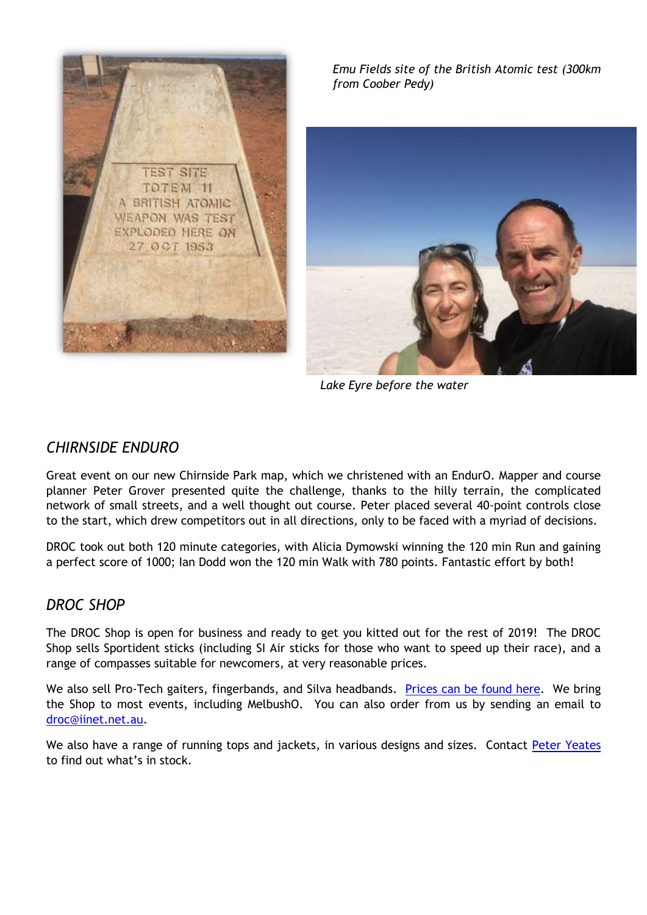

*Emu Fields site of the British Atomic test (300km from Coober Pedy)*

![](_page_9_Picture_2.jpeg)

*Lake Eyre before the water*

## *CHIRNSIDE ENDURO*

Great event on our new Chirnside Park map, which we christened with an EndurO. Mapper and course planner Peter Grover presented quite the challenge, thanks to the hilly terrain, the complicated network of small streets, and a well thought out course. Peter placed several 40-point controls close to the start, which drew competitors out in all directions, only to be faced with a myriad of decisions.

DROC took out both 120 minute categories, with Alicia Dymowski winning the 120 min Run and gaining a perfect score of 1000; Ian Dodd won the 120 min Walk with 780 points. Fantastic effort by both!

### *DROC SHOP*

The DROC Shop is open for business and ready to get you kitted out for the rest of 2019! The DROC Shop sells Sportident sticks (including SI Air sticks for those who want to speed up their race), and a range of compasses suitable for newcomers, at very reasonable prices.

We also sell Pro-Tech gaiters, fingerbands, and Silva headbands. [Prices can be found here.](http://www.drocorienteering.com.au/wordpress/droc-shop/) We bring the Shop to most events, including MelbushO. You can also order from us by sending an email to [droc@iinet.net.au.](mailto:droc@iinet.net.au)

We also have a range of running tops and jackets, in various designs and sizes. Contact [Peter Yeates](mailto:pj.i.yeates@gmail.com) to find out what's in stock.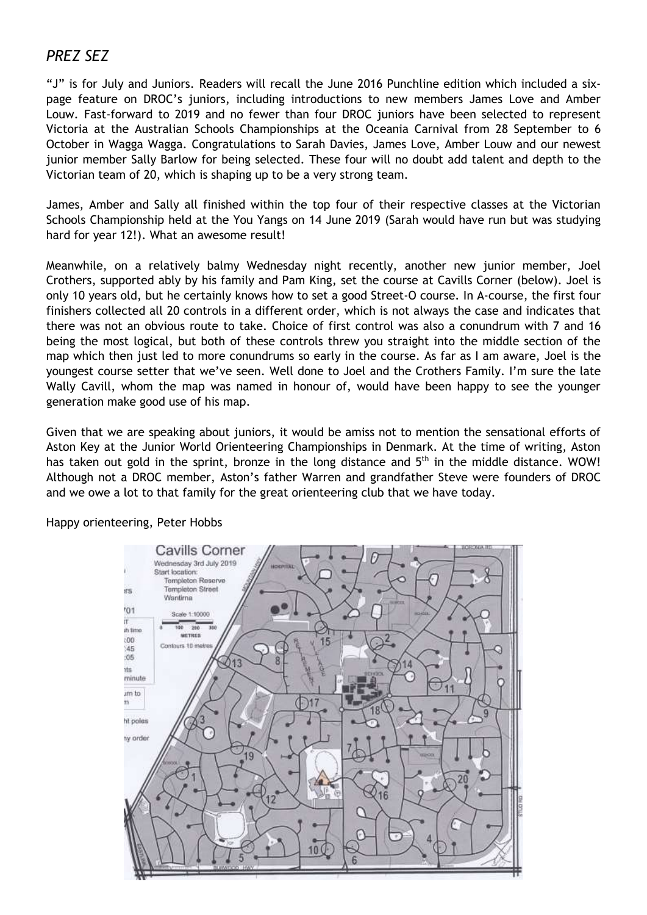# *PREZ SEZ*

"J" is for July and Juniors. Readers will recall the June 2016 Punchline edition which included a sixpage feature on DROC's juniors, including introductions to new members James Love and Amber Louw. Fast-forward to 2019 and no fewer than four DROC juniors have been selected to represent Victoria at the Australian Schools Championships at the Oceania Carnival from 28 September to 6 October in Wagga Wagga. Congratulations to Sarah Davies, James Love, Amber Louw and our newest junior member Sally Barlow for being selected. These four will no doubt add talent and depth to the Victorian team of 20, which is shaping up to be a very strong team.

James, Amber and Sally all finished within the top four of their respective classes at the Victorian Schools Championship held at the You Yangs on 14 June 2019 (Sarah would have run but was studying hard for year 12!). What an awesome result!

Meanwhile, on a relatively balmy Wednesday night recently, another new junior member, Joel Crothers, supported ably by his family and Pam King, set the course at Cavills Corner (below). Joel is only 10 years old, but he certainly knows how to set a good Street-O course. In A-course, the first four finishers collected all 20 controls in a different order, which is not always the case and indicates that there was not an obvious route to take. Choice of first control was also a conundrum with 7 and 16 being the most logical, but both of these controls threw you straight into the middle section of the map which then just led to more conundrums so early in the course. As far as I am aware, Joel is the youngest course setter that we've seen. Well done to Joel and the Crothers Family. I'm sure the late Wally Cavill, whom the map was named in honour of, would have been happy to see the younger generation make good use of his map.

Given that we are speaking about juniors, it would be amiss not to mention the sensational efforts of Aston Key at the Junior World Orienteering Championships in Denmark. At the time of writing, Aston has taken out gold in the sprint, bronze in the long distance and 5<sup>th</sup> in the middle distance. WOW! Although not a DROC member, Aston's father Warren and grandfather Steve were founders of DROC and we owe a lot to that family for the great orienteering club that we have today.

![](_page_10_Figure_5.jpeg)

Happy orienteering, Peter Hobbs